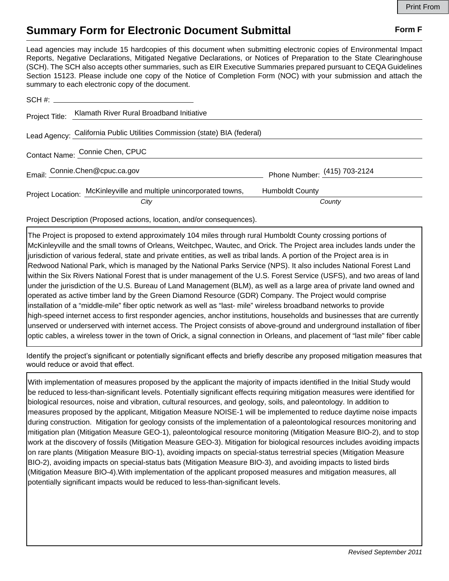## **Summary Form for Electronic Document Submittal Form F Form F**

Lead agencies may include 15 hardcopies of this document when submitting electronic copies of Environmental Impact Reports, Negative Declarations, Mitigated Negative Declarations, or Notices of Preparation to the State Clearinghouse (SCH). The SCH also accepts other summaries, such as EIR Executive Summaries prepared pursuant to CEQA Guidelines Section 15123. Please include one copy of the Notice of Completion Form (NOC) with your submission and attach the summary to each electronic copy of the document.

|                                 | Project Title: Klamath River Rural Broadband Initiative                   |                              |        |
|---------------------------------|---------------------------------------------------------------------------|------------------------------|--------|
|                                 | Lead Agency: California Public Utilities Commission (state) BIA (federal) |                              |        |
| Contact Name: Connie Chen, CPUC |                                                                           |                              |        |
|                                 | Email: Connie.Chen@cpuc.ca.gov                                            | Phone Number: (415) 703-2124 |        |
|                                 | Project Location: McKinleyville and multiple unincorporated towns,        | <b>Humboldt County</b>       |        |
|                                 | City                                                                      |                              | County |

Project Description (Proposed actions, location, and/or consequences).

The Project is proposed to extend approximately 104 miles through rural Humboldt County crossing portions of McKinleyville and the small towns of Orleans, Weitchpec, Wautec, and Orick. The Project area includes lands under the jurisdiction of various federal, state and private entities, as well as tribal lands. A portion of the Project area is in Redwood National Park, which is managed by the National Parks Service (NPS). It also includes National Forest Land within the Six Rivers National Forest that is under management of the U.S. Forest Service (USFS), and two areas of land under the jurisdiction of the U.S. Bureau of Land Management (BLM), as well as a large area of private land owned and operated as active timber land by the Green Diamond Resource (GDR) Company. The Project would comprise installation of a "middle-mile" fiber optic network as well as "last- mile" wireless broadband networks to provide high-speed internet access to first responder agencies, anchor institutions, households and businesses that are currently unserved or underserved with internet access. The Project consists of above-ground and underground installation of fiber optic cables, a wireless tower in the town of Orick, a signal connection in Orleans, and placement of "last mile" fiber cable

Identify the project's significant or potentially significant effects and briefly describe any proposed mitigation measures that would reduce or avoid that effect.

With implementation of measures proposed by the applicant the majority of impacts identified in the Initial Study would be reduced to less-than-significant levels. Potentially significant effects requiring mitigation measures were identified for biological resources, noise and vibration, cultural resources, and geology, soils, and paleontology. In addition to measures proposed by the applicant, Mitigation Measure NOISE-1 will be implemented to reduce daytime noise impacts during construction. Mitigation for geology consists of the implementation of a paleontological resources monitoring and mitigation plan (Mitigation Measure GEO-1), paleontological resource monitoring (Mitigation Measure BIO-2), and to stop work at the discovery of fossils (Mitigation Measure GEO-3). Mitigation for biological resources includes avoiding impacts on rare plants (Mitigation Measure BIO-1), avoiding impacts on special-status terrestrial species (Mitigation Measure BIO-2), avoiding impacts on special-status bats (Mitigation Measure BIO-3), and avoiding impacts to listed birds (Mitigation Measure BIO-4).With implementation of the applicant proposed measures and mitigation measures, all potentially significant impacts would be reduced to less-than-significant levels.